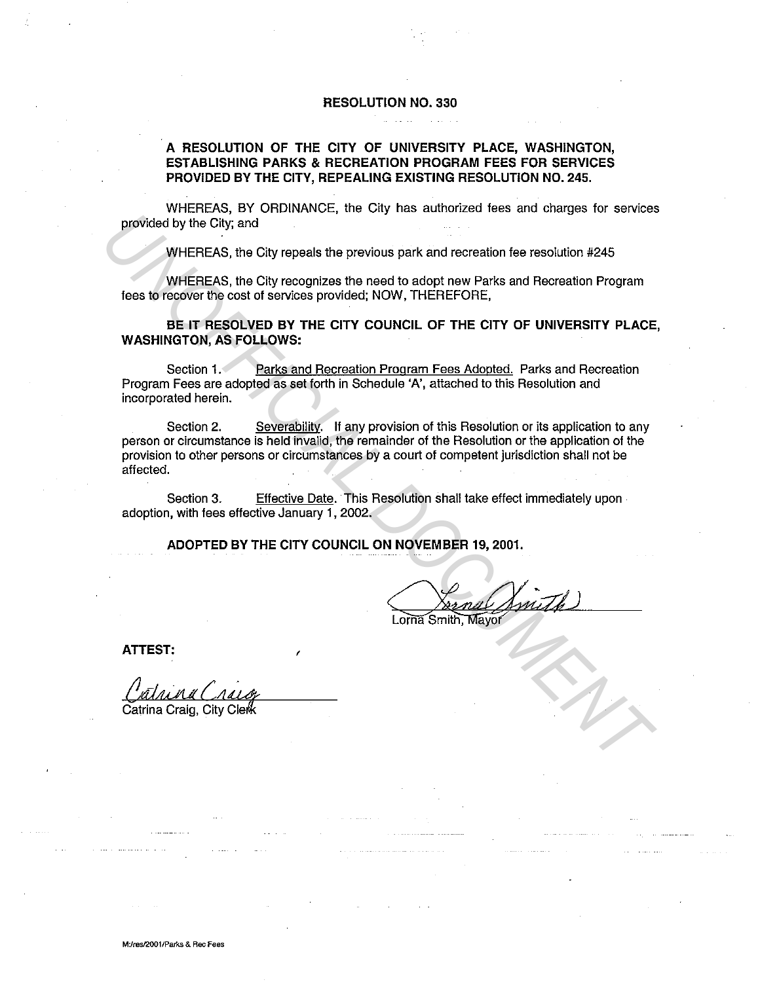## **RESOLUTION NO. 330**

## **A RESOLUTION OF THE CITY OF UNIVERSITY PLACE, WASHINGTON, ESTABLISHING PARKS & RECREATION PROGRAM FEES FOR SERVICES PROVIDED BY THE CITY, REPEALING EXISTING RESOLUTION NO. 245.**

WHEREAS, BY ORDINANCE, the City has authorized fees and charges for services provided by the City; and

WHEREAS, the City repeals the previous park and recreation fee resolution #245

WHEREAS, the City recognizes the need to adopt new Parks and Recreation Program fees to recover the cost of services provided; NOW, THEREFORE,

**BE IT RESOLVED BY THE CITY COUNCIL OF THE CITY OF UNIVERSITY PLACE, WASHINGTON, AS FOLLOWS:** 

Section 1. Parks and Recreation Program Fees Adopted. Parks and Recreation Program Fees are adopted as set forth in Schedule 'A', attached to this Resolution and incorporated herein.

Section 2. Severability. If any provision of this Resolution or its application to any person or circumstance is held invalid, the remainder of the Resolution or the application of the provision to other persons or circumstances by a court of competent jurisdiction shall not be affected. **EXERCISE AND THE CITY COUNCIL ON NOVEMBER 19, 2001.**<br> **UNIFEREAS, the City repeats the previous park and recreation fer esolution #245**<br> **UNIFEREAS, the City recognizes the need to adopt new Parks and Recreation Program**<br>

Section 3. Effective Date. This Resolution shall take effect immediately upon adoption, with fees effective January 1, 2002.

**ADOPTED BY THE CITY COUNCIL ON NOVEMBER 19, 2001.** 

**ATTEST:** <sup>f</sup>